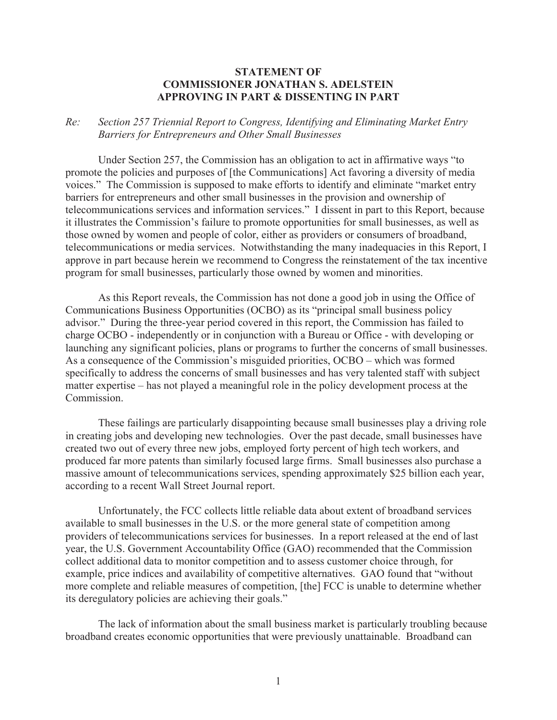## **STATEMENT OF COMMISSIONER JONATHAN S. ADELSTEIN APPROVING IN PART & DISSENTING IN PART**

## *Re: Section 257 Triennial Report to Congress, Identifying and Eliminating Market Entry Barriers for Entrepreneurs and Other Small Businesses*

Under Section 257, the Commission has an obligation to act in affirmative ways "to promote the policies and purposes of [the Communications] Act favoring a diversity of media voices." The Commission is supposed to make efforts to identify and eliminate "market entry barriers for entrepreneurs and other small businesses in the provision and ownership of telecommunications services and information services." I dissent in part to this Report, because it illustrates the Commission's failure to promote opportunities for small businesses, as well as those owned by women and people of color, either as providers or consumers of broadband, telecommunications or media services. Notwithstanding the many inadequacies in this Report, I approve in part because herein we recommend to Congress the reinstatement of the tax incentive program for small businesses, particularly those owned by women and minorities.

As this Report reveals, the Commission has not done a good job in using the Office of Communications Business Opportunities (OCBO) as its "principal small business policy advisor." During the three-year period covered in this report, the Commission has failed to charge OCBO - independently or in conjunction with a Bureau or Office - with developing or launching any significant policies, plans or programs to further the concerns of small businesses. As a consequence of the Commission's misguided priorities, OCBO – which was formed specifically to address the concerns of small businesses and has very talented staff with subject matter expertise – has not played a meaningful role in the policy development process at the **Commission** 

These failings are particularly disappointing because small businesses play a driving role in creating jobs and developing new technologies. Over the past decade, small businesses have created two out of every three new jobs, employed forty percent of high tech workers, and produced far more patents than similarly focused large firms. Small businesses also purchase a massive amount of telecommunications services, spending approximately \$25 billion each year, according to a recent Wall Street Journal report.

Unfortunately, the FCC collects little reliable data about extent of broadband services available to small businesses in the U.S. or the more general state of competition among providers of telecommunications services for businesses. In a report released at the end of last year, the U.S. Government Accountability Office (GAO) recommended that the Commission collect additional data to monitor competition and to assess customer choice through, for example, price indices and availability of competitive alternatives. GAO found that "without more complete and reliable measures of competition, [the] FCC is unable to determine whether its deregulatory policies are achieving their goals."

The lack of information about the small business market is particularly troubling because broadband creates economic opportunities that were previously unattainable. Broadband can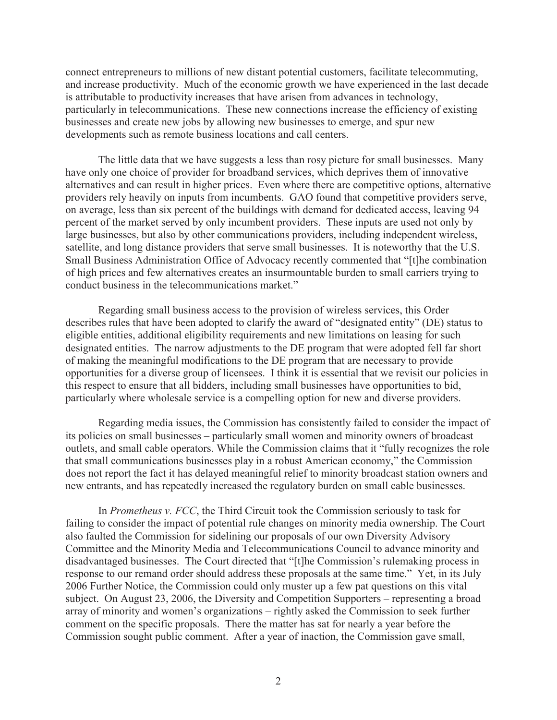connect entrepreneurs to millions of new distant potential customers, facilitate telecommuting, and increase productivity. Much of the economic growth we have experienced in the last decade is attributable to productivity increases that have arisen from advances in technology, particularly in telecommunications. These new connections increase the efficiency of existing businesses and create new jobs by allowing new businesses to emerge, and spur new developments such as remote business locations and call centers.

The little data that we have suggests a less than rosy picture for small businesses. Many have only one choice of provider for broadband services, which deprives them of innovative alternatives and can result in higher prices. Even where there are competitive options, alternative providers rely heavily on inputs from incumbents. GAO found that competitive providers serve, on average, less than six percent of the buildings with demand for dedicated access, leaving 94 percent of the market served by only incumbent providers. These inputs are used not only by large businesses, but also by other communications providers, including independent wireless, satellite, and long distance providers that serve small businesses. It is noteworthy that the U.S. Small Business Administration Office of Advocacy recently commented that "[t]he combination of high prices and few alternatives creates an insurmountable burden to small carriers trying to conduct business in the telecommunications market."

Regarding small business access to the provision of wireless services, this Order describes rules that have been adopted to clarify the award of "designated entity" (DE) status to eligible entities, additional eligibility requirements and new limitations on leasing for such designated entities. The narrow adjustments to the DE program that were adopted fell far short of making the meaningful modifications to the DE program that are necessary to provide opportunities for a diverse group of licensees. I think it is essential that we revisit our policies in this respect to ensure that all bidders, including small businesses have opportunities to bid, particularly where wholesale service is a compelling option for new and diverse providers.

Regarding media issues, the Commission has consistently failed to consider the impact of its policies on small businesses – particularly small women and minority owners of broadcast outlets, and small cable operators. While the Commission claims that it "fully recognizes the role that small communications businesses play in a robust American economy," the Commission does not report the fact it has delayed meaningful relief to minority broadcast station owners and new entrants, and has repeatedly increased the regulatory burden on small cable businesses.

In *Prometheus v. FCC*, the Third Circuit took the Commission seriously to task for failing to consider the impact of potential rule changes on minority media ownership. The Court also faulted the Commission for sidelining our proposals of our own Diversity Advisory Committee and the Minority Media and Telecommunications Council to advance minority and disadvantaged businesses. The Court directed that "[t]he Commission's rulemaking process in response to our remand order should address these proposals at the same time." Yet, in its July 2006 Further Notice, the Commission could only muster up a few pat questions on this vital subject. On August 23, 2006, the Diversity and Competition Supporters – representing a broad array of minority and women's organizations – rightly asked the Commission to seek further comment on the specific proposals. There the matter has sat for nearly a year before the Commission sought public comment. After a year of inaction, the Commission gave small,